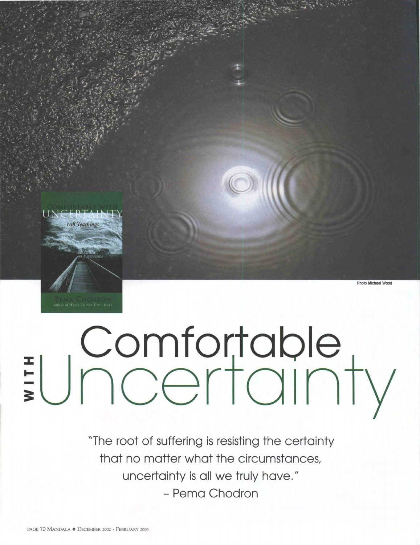

## $\exists U$  Comfortable<br>  $\exists U$  ncertainty

"The root of suffering is resisting the certainty that no matter what the circumstances, uncertainty is all we truly have." - Pema Chodron